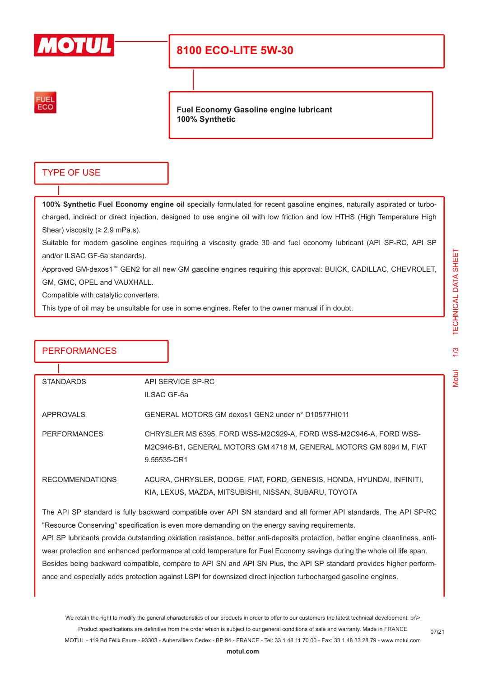

# **8100 ECO-LITE 5W-30**



**Fuel Economy Gasoline engine lubricant 100% Synthetic**

#### TYPE OF USE

**100% Synthetic Fuel Economy engine oil** specially formulated for recent gasoline engines, naturally aspirated or turbocharged, indirect or direct injection, designed to use engine oil with low friction and low HTHS (High Temperature High Shear) viscosity (≥ 2.9 mPa.s).

Suitable for modern gasoline engines requiring a viscosity grade 30 and fuel economy lubricant (API SP-RC, API SP and/or ILSAC GF-6a standards).

Approved GM-dexos1™ GEN2 for all new GM gasoline engines requiring this approval: BUICK, CADILLAC, CHEVROLET, GM, GMC, OPEL and VAUXHALL.

Compatible with catalytic converters.

This type of oil may be unsuitable for use in some engines. Refer to the owner manual if in doubt.

| <b>PERFORMANCES</b>    |                                                                        |  |
|------------------------|------------------------------------------------------------------------|--|
|                        |                                                                        |  |
| <b>STANDARDS</b>       | API SERVICE SP-RC                                                      |  |
|                        | ILSAC GF-6a                                                            |  |
| APPROVALS              | GENERAL MOTORS GM dexos1 GEN2 under n° D10577HI011                     |  |
| <b>PERFORMANCES</b>    | CHRYSLER MS 6395, FORD WSS-M2C929-A, FORD WSS-M2C946-A, FORD WSS-      |  |
|                        | M2C946-B1, GENERAL MOTORS GM 4718 M, GENERAL MOTORS GM 6094 M, FIAT    |  |
|                        | 9.55535-CR1                                                            |  |
| <b>RECOMMENDATIONS</b> | ACURA, CHRYSLER, DODGE, FIAT, FORD, GENESIS, HONDA, HYUNDAI, INFINITI, |  |
|                        | KIA, LEXUS, MAZDA, MITSUBISHI, NISSAN, SUBARU, TOYOTA                  |  |

The API SP standard is fully backward compatible over API SN standard and all former API standards. The API SP-RC "Resource Conserving" specification is even more demanding on the energy saving requirements.

API SP lubricants provide outstanding oxidation resistance, better anti-deposits protection, better engine cleanliness, antiwear protection and enhanced performance at cold temperature for Fuel Economy savings during the whole oil life span. Besides being backward compatible, compare to API SN and API SN Plus, the API SP standard provides higher performance and especially adds protection against LSPI for downsized direct injection turbocharged gasoline engines.

We retain the right to modify the general characteristics of our products in order to offer to our customers the latest technical development. br\> Product specifications are definitive from the order which is subject to our general conditions of sale and warranty. Made in FRANCE MOTUL - 119 Bd Félix Faure - 93303 - Aubervilliers Cedex - BP 94 - FRANCE - Tel: 33 1 48 11 70 00 - Fax: 33 1 48 33 28 79 - www.motul.com

07/21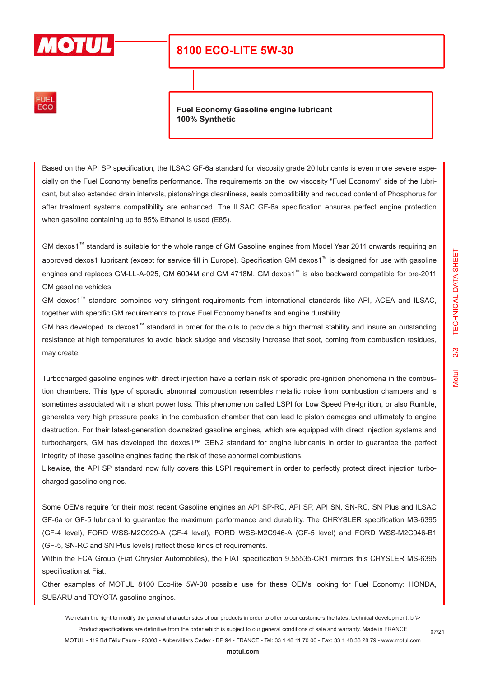

## **8100 ECO-LITE 5W-30**



**Fuel Economy Gasoline engine lubricant 100% Synthetic**

Based on the API SP specification, the ILSAC GF-6a standard for viscosity grade 20 lubricants is even more severe especially on the Fuel Economy benefits performance. The requirements on the low viscosity "Fuel Economy" side of the lubricant, but also extended drain intervals, pistons/rings cleanliness, seals compatibility and reduced content of Phosphorus for after treatment systems compatibility are enhanced. The ILSAC GF-6a specification ensures perfect engine protection when gasoline containing up to 85% Ethanol is used (E85).

GM dexos1™ standard is suitable for the whole range of GM Gasoline engines from Model Year 2011 onwards requiring an approved dexos1 lubricant (except for service fill in Europe). Specification GM dexos1™ is designed for use with gasoline engines and replaces GM-LL-A-025, GM 6094M and GM 4718M. GM dexos1™ is also backward compatible for pre-2011 GM gasoline vehicles.

GM dexos1™ standard combines very stringent requirements from international standards like API, ACEA and ILSAC, together with specific GM requirements to prove Fuel Economy benefits and engine durability.

GM has developed its dexos1<sup>™</sup> standard in order for the oils to provide a high thermal stability and insure an outstanding resistance at high temperatures to avoid black sludge and viscosity increase that soot, coming from combustion residues, may create.

Turbocharged gasoline engines with direct injection have a certain risk of sporadic pre-ignition phenomena in the combustion chambers. This type of sporadic abnormal combustion resembles metallic noise from combustion chambers and is sometimes associated with a short power loss. This phenomenon called LSPI for Low Speed Pre-Ignition, or also Rumble, generates very high pressure peaks in the combustion chamber that can lead to piston damages and ultimately to engine destruction. For their latest-generation downsized gasoline engines, which are equipped with direct injection systems and turbochargers, GM has developed the dexos1™ GEN2 standard for engine lubricants in order to guarantee the perfect integrity of these gasoline engines facing the risk of these abnormal combustions.

Likewise, the API SP standard now fully covers this LSPI requirement in order to perfectly protect direct injection turbocharged gasoline engines.

Some OEMs require for their most recent Gasoline engines an API SP-RC, API SP, API SN, SN-RC, SN Plus and ILSAC GF-6a or GF-5 lubricant to guarantee the maximum performance and durability. The CHRYSLER specification MS-6395 (GF-4 level), FORD WSS-M2C929-A (GF-4 level), FORD WSS-M2C946-A (GF-5 level) and FORD WSS-M2C946-B1 (GF-5, SN-RC and SN Plus levels) reflect these kinds of requirements.

Within the FCA Group (Fiat Chrysler Automobiles), the FIAT specification 9.55535-CR1 mirrors this CHYSLER MS-6395 specification at Fiat.

Other examples of MOTUL 8100 Eco-lite 5W-30 possible use for these OEMs looking for Fuel Economy: HONDA, SUBARU and TOYOTA gasoline engines.

We retain the right to modify the general characteristics of our products in order to offer to our customers the latest technical development. br\> Product specifications are definitive from the order which is subject to our general conditions of sale and warranty. Made in FRANCE

MOTUL - 119 Bd Félix Faure - 93303 - Aubervilliers Cedex - BP 94 - FRANCE - Tel: 33 1 48 11 70 00 - Fax: 33 1 48 33 28 79 - www.motul.com

**[motul.com](http://www.motul.com)**